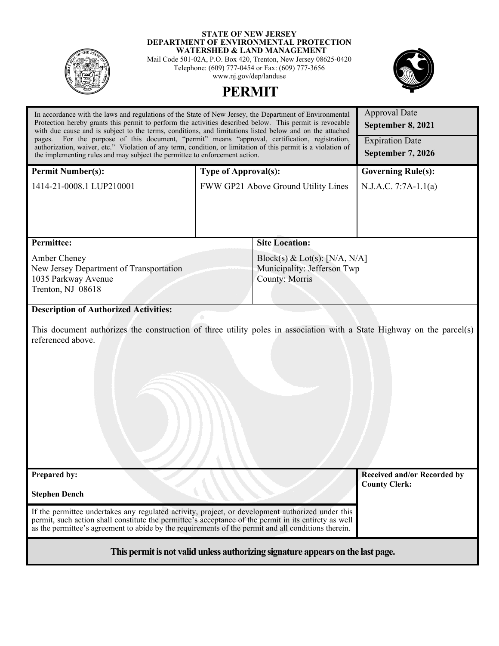

#### **STATE OF NEW JERSEY DEPARTMENT OF ENVIRONMENTAL PROTECTION WATERSHED & LAND MANAGEMENT**

Mail Code 501-02A, P.O. Box 420, Trenton, New Jersey 08625-0420 Telephone: (609) 777-0454 or Fax: (609) 777-3656 www.nj.gov/dep/landuse



# In accordance with the laws and regulations of the State of New Jersey, the Department of Environmental Approval Date **PERMIT**

| Protection hereby grants this permit to perform the activities described below. This permit is revocable<br>with due cause and is subject to the terms, conditions, and limitations listed below and on the attached                                                                                              |                                                                                       | September 8, 2021                                   |  |
|-------------------------------------------------------------------------------------------------------------------------------------------------------------------------------------------------------------------------------------------------------------------------------------------------------------------|---------------------------------------------------------------------------------------|-----------------------------------------------------|--|
| For the purpose of this document, "permit" means "approval, certification, registration,<br>pages.<br>authorization, waiver, etc." Violation of any term, condition, or limitation of this permit is a violation of<br>the implementing rules and may subject the permittee to enforcement action.                |                                                                                       | <b>Expiration Date</b><br>September 7, 2026         |  |
| <b>Permit Number(s):</b>                                                                                                                                                                                                                                                                                          | <b>Type of Approval(s):</b>                                                           | <b>Governing Rule(s):</b>                           |  |
| 1414-21-0008.1 LUP210001                                                                                                                                                                                                                                                                                          | FWW GP21 Above Ground Utility Lines                                                   | $N.J.A.C. 7:7A-1.1(a)$                              |  |
|                                                                                                                                                                                                                                                                                                                   |                                                                                       |                                                     |  |
| <b>Permittee:</b>                                                                                                                                                                                                                                                                                                 | <b>Site Location:</b>                                                                 |                                                     |  |
| Amber Cheney<br>New Jersey Department of Transportation<br>1035 Parkway Avenue<br>Trenton, NJ 08618                                                                                                                                                                                                               | Block(s) & Lot(s): [N/A, N/A]<br>Municipality: Jefferson Twp<br><b>County: Morris</b> |                                                     |  |
| <b>Description of Authorized Activities:</b>                                                                                                                                                                                                                                                                      |                                                                                       |                                                     |  |
| This document authorizes the construction of three utility poles in association with a State Highway on the parcel(s)<br>referenced above.                                                                                                                                                                        |                                                                                       |                                                     |  |
| Prepared by:                                                                                                                                                                                                                                                                                                      |                                                                                       | Received and/or Recorded by<br><b>County Clerk:</b> |  |
| <b>Stephen Dench</b>                                                                                                                                                                                                                                                                                              |                                                                                       |                                                     |  |
| If the permittee undertakes any regulated activity, project, or development authorized under this<br>permit, such action shall constitute the permittee's acceptance of the permit in its entirety as well<br>as the permittee's agreement to abide by the requirements of the permit and all conditions therein. |                                                                                       |                                                     |  |
| This permit is not valid unless authorizing signature appears on the last page.                                                                                                                                                                                                                                   |                                                                                       |                                                     |  |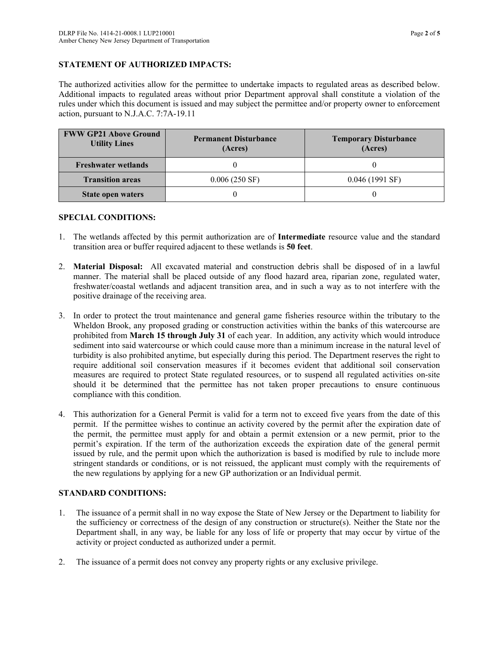## **STATEMENT OF AUTHORIZED IMPACTS:**

The authorized activities allow for the permittee to undertake impacts to regulated areas as described below. Additional impacts to regulated areas without prior Department approval shall constitute a violation of the rules under which this document is issued and may subject the permittee and/or property owner to enforcement action, pursuant to N.J.A.C. 7:7A-19.11

| <b>FWW GP21 Above Ground</b><br><b>Utility Lines</b> | <b>Permanent Disturbance</b><br>(Acres) | <b>Temporary Disturbance</b><br>(Acres) |
|------------------------------------------------------|-----------------------------------------|-----------------------------------------|
| <b>Freshwater wetlands</b>                           |                                         |                                         |
| <b>Transition areas</b>                              | $0.006(250 \text{ SF})$                 | $0.046(1991 \text{ SF})$                |
| State open waters                                    |                                         |                                         |

#### **SPECIAL CONDITIONS:**

- 1. The wetlands affected by this permit authorization are of **Intermediate** resource value and the standard transition area or buffer required adjacent to these wetlands is **50 feet**.
- 2. **Material Disposal:** All excavated material and construction debris shall be disposed of in a lawful manner. The material shall be placed outside of any flood hazard area, riparian zone, regulated water, freshwater/coastal wetlands and adjacent transition area, and in such a way as to not interfere with the positive drainage of the receiving area.
- 3. In order to protect the trout maintenance and general game fisheries resource within the tributary to the Wheldon Brook, any proposed grading or construction activities within the banks of this watercourse are prohibited from **March 15 through July 31** of each year. In addition, any activity which would introduce sediment into said watercourse or which could cause more than a minimum increase in the natural level of turbidity is also prohibited anytime, but especially during this period. The Department reserves the right to require additional soil conservation measures if it becomes evident that additional soil conservation measures are required to protect State regulated resources, or to suspend all regulated activities on-site should it be determined that the permittee has not taken proper precautions to ensure continuous compliance with this condition.
- 4. This authorization for a General Permit is valid for a term not to exceed five years from the date of this permit. If the permittee wishes to continue an activity covered by the permit after the expiration date of the permit, the permittee must apply for and obtain a permit extension or a new permit, prior to the permit's expiration. If the term of the authorization exceeds the expiration date of the general permit issued by rule, and the permit upon which the authorization is based is modified by rule to include more stringent standards or conditions, or is not reissued, the applicant must comply with the requirements of the new regulations by applying for a new GP authorization or an Individual permit.

## **STANDARD CONDITIONS:**

- 1. The issuance of a permit shall in no way expose the State of New Jersey or the Department to liability for the sufficiency or correctness of the design of any construction or structure(s). Neither the State nor the Department shall, in any way, be liable for any loss of life or property that may occur by virtue of the activity or project conducted as authorized under a permit.
- 2. The issuance of a permit does not convey any property rights or any exclusive privilege.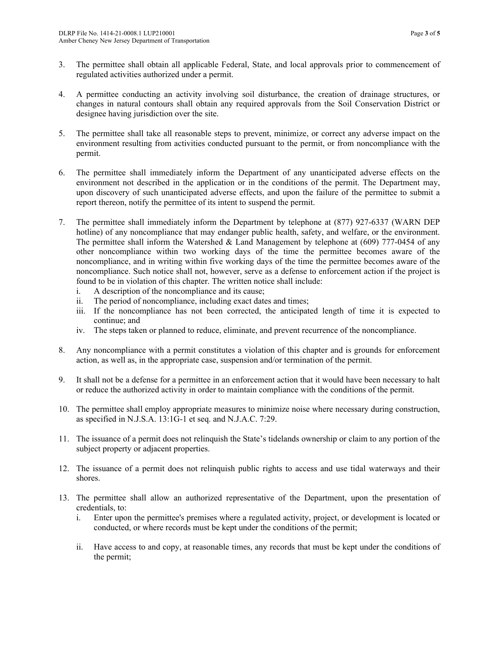- 3. The permittee shall obtain all applicable Federal, State, and local approvals prior to commencement of regulated activities authorized under a permit.
- 4. A permittee conducting an activity involving soil disturbance, the creation of drainage structures, or changes in natural contours shall obtain any required approvals from the Soil Conservation District or designee having jurisdiction over the site.
- 5. The permittee shall take all reasonable steps to prevent, minimize, or correct any adverse impact on the environment resulting from activities conducted pursuant to the permit, or from noncompliance with the permit.
- 6. The permittee shall immediately inform the Department of any unanticipated adverse effects on the environment not described in the application or in the conditions of the permit. The Department may, upon discovery of such unanticipated adverse effects, and upon the failure of the permittee to submit a report thereon, notify the permittee of its intent to suspend the permit.
- 7. The permittee shall immediately inform the Department by telephone at (877) 927-6337 (WARN DEP hotline) of any noncompliance that may endanger public health, safety, and welfare, or the environment. The permittee shall inform the Watershed & Land Management by telephone at (609) 777-0454 of any other noncompliance within two working days of the time the permittee becomes aware of the noncompliance, and in writing within five working days of the time the permittee becomes aware of the noncompliance. Such notice shall not, however, serve as a defense to enforcement action if the project is found to be in violation of this chapter. The written notice shall include:
	- i. A description of the noncompliance and its cause;
	- ii. The period of noncompliance, including exact dates and times;
	- iii. If the noncompliance has not been corrected, the anticipated length of time it is expected to continue; and
	- iv. The steps taken or planned to reduce, eliminate, and prevent recurrence of the noncompliance.
- 8. Any noncompliance with a permit constitutes a violation of this chapter and is grounds for enforcement action, as well as, in the appropriate case, suspension and/or termination of the permit.
- 9. It shall not be a defense for a permittee in an enforcement action that it would have been necessary to halt or reduce the authorized activity in order to maintain compliance with the conditions of the permit.
- 10. The permittee shall employ appropriate measures to minimize noise where necessary during construction, as specified in N.J.S.A. 13:1G-1 et seq. and N.J.A.C. 7:29.
- 11. The issuance of a permit does not relinquish the State's tidelands ownership or claim to any portion of the subject property or adjacent properties.
- 12. The issuance of a permit does not relinquish public rights to access and use tidal waterways and their shores.
- 13. The permittee shall allow an authorized representative of the Department, upon the presentation of credentials, to:
	- i. Enter upon the permittee's premises where a regulated activity, project, or development is located or conducted, or where records must be kept under the conditions of the permit;
	- ii. Have access to and copy, at reasonable times, any records that must be kept under the conditions of the permit;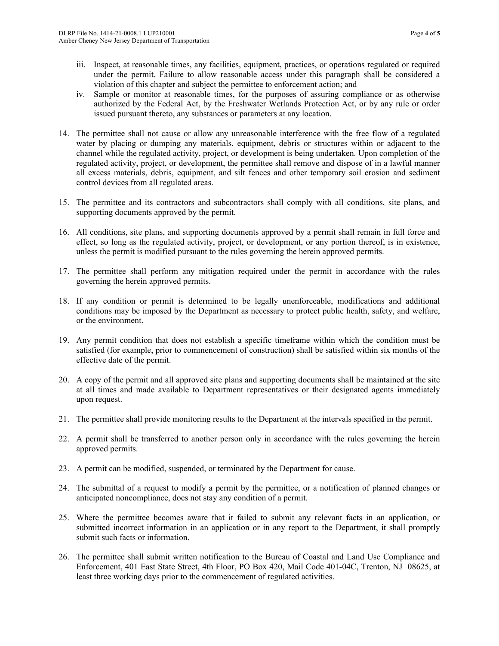- iii. Inspect, at reasonable times, any facilities, equipment, practices, or operations regulated or required under the permit. Failure to allow reasonable access under this paragraph shall be considered a violation of this chapter and subject the permittee to enforcement action; and
- iv. Sample or monitor at reasonable times, for the purposes of assuring compliance or as otherwise authorized by the Federal Act, by the Freshwater Wetlands Protection Act, or by any rule or order issued pursuant thereto, any substances or parameters at any location.
- 14. The permittee shall not cause or allow any unreasonable interference with the free flow of a regulated water by placing or dumping any materials, equipment, debris or structures within or adjacent to the channel while the regulated activity, project, or development is being undertaken. Upon completion of the regulated activity, project, or development, the permittee shall remove and dispose of in a lawful manner all excess materials, debris, equipment, and silt fences and other temporary soil erosion and sediment control devices from all regulated areas.
- 15. The permittee and its contractors and subcontractors shall comply with all conditions, site plans, and supporting documents approved by the permit.
- 16. All conditions, site plans, and supporting documents approved by a permit shall remain in full force and effect, so long as the regulated activity, project, or development, or any portion thereof, is in existence, unless the permit is modified pursuant to the rules governing the herein approved permits.
- 17. The permittee shall perform any mitigation required under the permit in accordance with the rules governing the herein approved permits.
- 18. If any condition or permit is determined to be legally unenforceable, modifications and additional conditions may be imposed by the Department as necessary to protect public health, safety, and welfare, or the environment.
- 19. Any permit condition that does not establish a specific timeframe within which the condition must be satisfied (for example, prior to commencement of construction) shall be satisfied within six months of the effective date of the permit.
- 20. A copy of the permit and all approved site plans and supporting documents shall be maintained at the site at all times and made available to Department representatives or their designated agents immediately upon request.
- 21. The permittee shall provide monitoring results to the Department at the intervals specified in the permit.
- 22. A permit shall be transferred to another person only in accordance with the rules governing the herein approved permits.
- 23. A permit can be modified, suspended, or terminated by the Department for cause.
- 24. The submittal of a request to modify a permit by the permittee, or a notification of planned changes or anticipated noncompliance, does not stay any condition of a permit.
- 25. Where the permittee becomes aware that it failed to submit any relevant facts in an application, or submitted incorrect information in an application or in any report to the Department, it shall promptly submit such facts or information.
- 26. The permittee shall submit written notification to the Bureau of Coastal and Land Use Compliance and Enforcement, 401 East State Street, 4th Floor, PO Box 420, Mail Code 401-04C, Trenton, NJ 08625, at least three working days prior to the commencement of regulated activities.